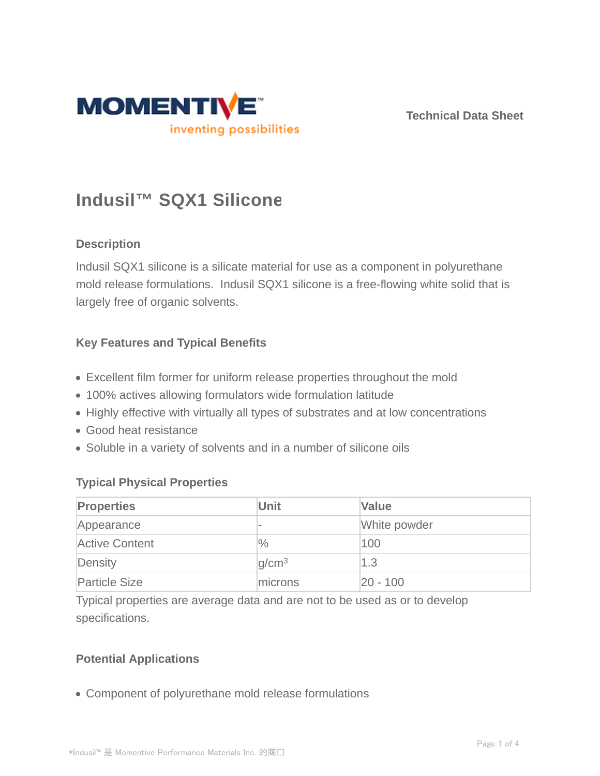

**Technical Data Sheet**

# **Indusil™ SQX1 Silicone**

# **Description**

Indusil SQX1 silicone is a silicate material for use as a component in polyurethane mold release formulations. Indusil SQX1 silicone is a free-flowing white solid that is largely free of organic solvents.

# **Key Features and Typical Benefits**

- Excellent film former for uniform release properties throughout the mold
- 100% actives allowing formulators wide formulation latitude
- Highly effective with virtually all types of substrates and at low concentrations
- Good heat resistance
- Soluble in a variety of solvents and in a number of silicone oils

# **Typical Physical Properties**

| <b>Properties</b>     | Unit                     | <b>Value</b> |
|-----------------------|--------------------------|--------------|
| Appearance            | $\overline{\phantom{a}}$ | White powder |
| <b>Active Content</b> | $\frac{0}{0}$            | 100          |
| Density               | q/cm <sup>3</sup>        | 1.3          |
| <b>Particle Size</b>  | microns                  | 20 - 100     |

Typical properties are average data and are not to be used as or to develop specifications.

# **Potential Applications**

Component of polyurethane mold release formulations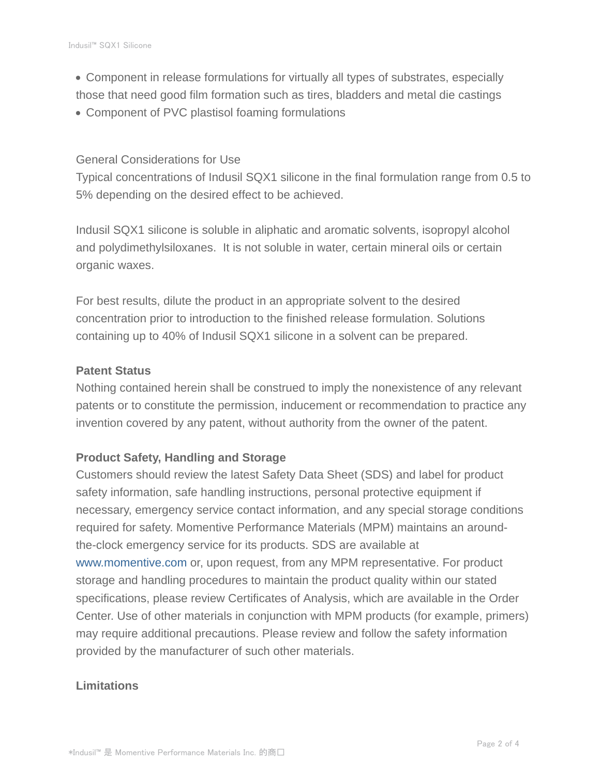- Component in release formulations for virtually all types of substrates, especially those that need good film formation such as tires, bladders and metal die castings
- Component of PVC plastisol foaming formulations

#### General Considerations for Use

Typical concentrations of Indusil SQX1 silicone in the final formulation range from 0.5 to 5% depending on the desired effect to be achieved.

Indusil SQX1 silicone is soluble in aliphatic and aromatic solvents, isopropyl alcohol and polydimethylsiloxanes. It is not soluble in water, certain mineral oils or certain organic waxes.

For best results, dilute the product in an appropriate solvent to the desired concentration prior to introduction to the finished release formulation. Solutions containing up to 40% of Indusil SQX1 silicone in a solvent can be prepared.

#### **Patent Status**

Nothing contained herein shall be construed to imply the nonexistence of any relevant patents or to constitute the permission, inducement or recommendation to practice any invention covered by any patent, without authority from the owner of the patent.

#### **Product Safety, Handling and Storage**

Customers should review the latest Safety Data Sheet (SDS) and label for product safety information, safe handling instructions, personal protective equipment if necessary, emergency service contact information, and any special storage conditions required for safety. Momentive Performance Materials (MPM) maintains an aroundthe-clock emergency service for its products. SDS are available at www.momentive.com or, upon request, from any MPM representative. For product storage and handling procedures to maintain the product quality within our stated specifications, please review Certificates of Analysis, which are available in the Order Center. Use of other materials in conjunction with MPM products (for example, primers) may require additional precautions. Please review and follow the safety information provided by the manufacturer of such other materials.

# **Limitations**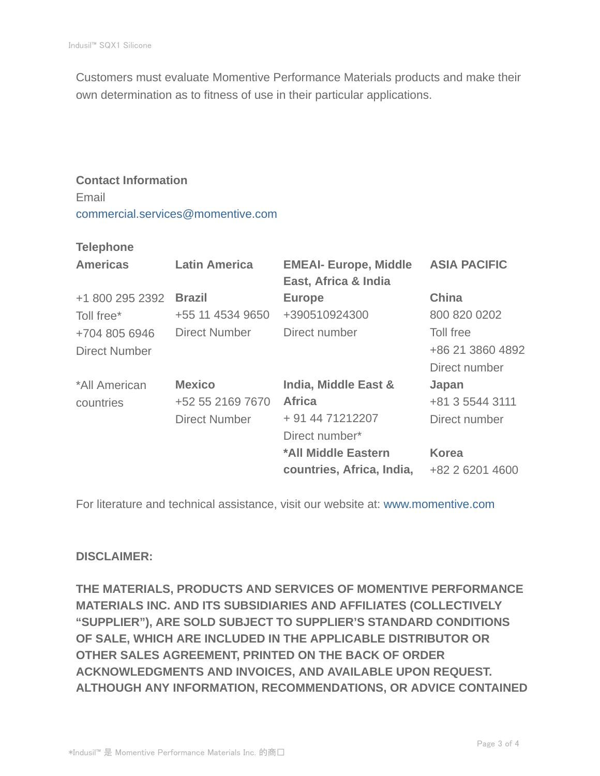Customers must evaluate Momentive Performance Materials products and make their own determination as to fitness of use in their particular applications.

# **Contact Information** Email commercial.services@momentive.com

#### **Telephone**

| <b>Americas</b>      | <b>Latin America</b> | <b>EMEAI- Europe, Middle</b><br>East, Africa & India | <b>ASIA PACIFIC</b> |
|----------------------|----------------------|------------------------------------------------------|---------------------|
| +1 800 295 2392      | <b>Brazil</b>        | <b>Europe</b>                                        | <b>China</b>        |
| Toll free*           | +55 11 4534 9650     | +390510924300                                        | 800 820 0202        |
| +704 805 6946        | <b>Direct Number</b> | Direct number                                        | Toll free           |
| <b>Direct Number</b> |                      |                                                      | +86 21 3860 4892    |
|                      |                      |                                                      | Direct number       |
| *All American        | <b>Mexico</b>        | India, Middle East &                                 | Japan               |
| countries            | +52 55 2169 7670     | <b>Africa</b>                                        | +81 3 5544 3111     |
|                      | <b>Direct Number</b> | + 91 44 71212207                                     | Direct number       |
|                      |                      | Direct number*                                       |                     |
|                      |                      | *All Middle Eastern                                  | <b>Korea</b>        |
|                      |                      | countries, Africa, India,                            | +82 2 6201 4600     |

For literature and technical assistance, visit our website at: www.momentive.com

# **DISCLAIMER:**

**THE MATERIALS, PRODUCTS AND SERVICES OF MOMENTIVE PERFORMANCE MATERIALS INC. AND ITS SUBSIDIARIES AND AFFILIATES (COLLECTIVELY "SUPPLIER"), ARE SOLD SUBJECT TO SUPPLIER'S STANDARD CONDITIONS OF SALE, WHICH ARE INCLUDED IN THE APPLICABLE DISTRIBUTOR OR OTHER SALES AGREEMENT, PRINTED ON THE BACK OF ORDER ACKNOWLEDGMENTS AND INVOICES, AND AVAILABLE UPON REQUEST. ALTHOUGH ANY INFORMATION, RECOMMENDATIONS, OR ADVICE CONTAINED**